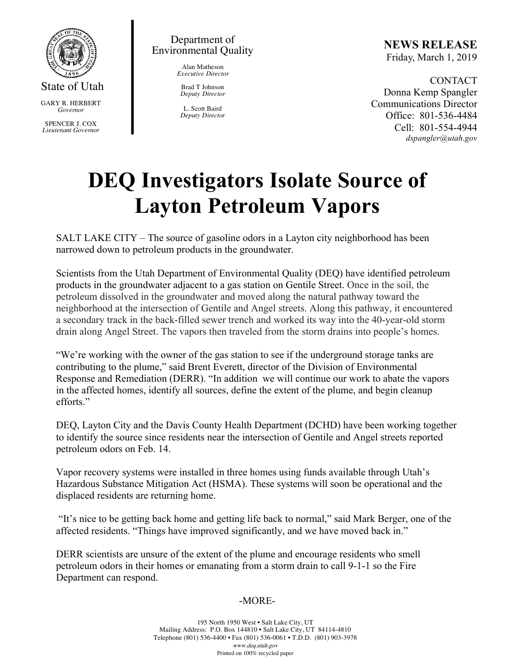

State of Utah GARY R. HERBERT *Governor* SPENCER J. COX *Lieutenant Governor*

Department of Environmental Quality

> Alan Matheson *Executive Director*

Brad T Johnson *Deputy Director*

L. Scott Baird *Deputy Director* **NEWS RELEASE** Friday, March 1, 2019

CONTACT Donna Kemp Spangler Communications Director Office: 801-536-4484 Cell: 801-554-4944 *dspangler@utah.gov*

## **DEQ Investigators Isolate Source of Layton Petroleum Vapors**

SALT LAKE CITY – The source of gasoline odors in a Layton city neighborhood has been narrowed down to petroleum products in the groundwater.

Scientists from the Utah Department of Environmental Quality (DEQ) have identified petroleum products in the groundwater adjacent to a gas station on Gentile Street. Once in the soil, the petroleum dissolved in the groundwater and moved along the natural pathway toward the neighborhood at the intersection of Gentile and Angel streets. Along this pathway, it encountered a secondary track in the back-filled sewer trench and worked its way into the 40-year-old storm drain along Angel Street. The vapors then traveled from the storm drains into people's homes.

"We're working with the owner of the gas station to see if the underground storage tanks are contributing to the plume," said Brent Everett, director of the Division of Environmental Response and Remediation (DERR). "In addition we will continue our work to abate the vapors in the affected homes, identify all sources, define the extent of the plume, and begin cleanup efforts."

DEQ, Layton City and the Davis County Health Department (DCHD) have been working together to identify the source since residents near the intersection of Gentile and Angel streets reported petroleum odors on Feb. 14.

Vapor recovery systems were installed in three homes using funds available through Utah's Hazardous Substance Mitigation Act (HSMA). These systems will soon be operational and the displaced residents are returning home.

"It's nice to be getting back home and getting life back to normal," said Mark Berger, one of the affected residents. "Things have improved significantly, and we have moved back in."

DERR scientists are unsure of the extent of the plume and encourage residents who smell petroleum odors in their homes or emanating from a storm drain to call 9-1-1 so the Fire Department can respond.

## -MORE-

195 North 1950 West • Salt Lake City, UT Mailing Address: P.O. Box 144810 • Salt Lake City, UT 84114-4810 Telephone (801) 536-4400 • Fax (801) 536-0061 • T.D.D. (801) 903-3978 www.deq.utah.gov Printed on 100% recycled paper